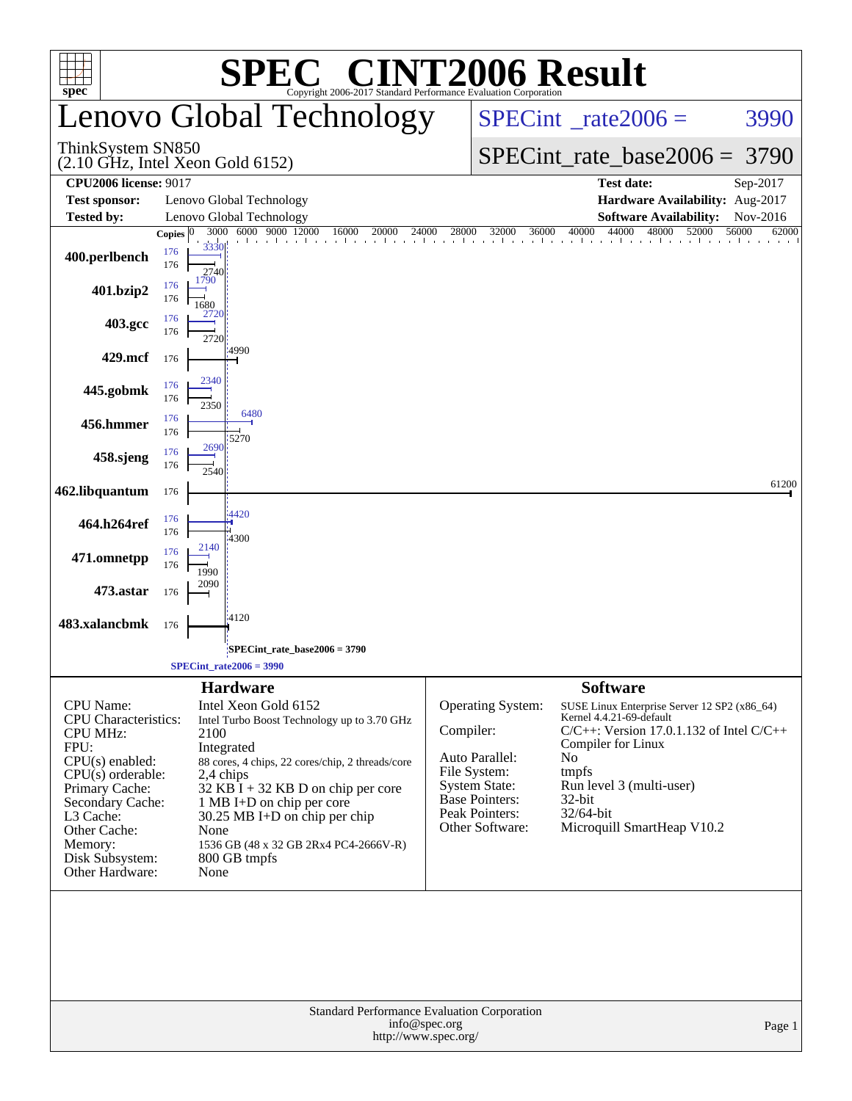| $spec^{\circ}$                                                                                                                                                                                                                             |                                           | $\bigcap_{\mathbb{R}} \mathbb{R}$<br>Copyright 2006-2017 Standard Performance Evaluation Corporation                                                                                                                                                                                                                                            | <b>INT2006 Result</b>                                                                                                                                         |                                                                                                                                                                                                                                                                    |                |
|--------------------------------------------------------------------------------------------------------------------------------------------------------------------------------------------------------------------------------------------|-------------------------------------------|-------------------------------------------------------------------------------------------------------------------------------------------------------------------------------------------------------------------------------------------------------------------------------------------------------------------------------------------------|---------------------------------------------------------------------------------------------------------------------------------------------------------------|--------------------------------------------------------------------------------------------------------------------------------------------------------------------------------------------------------------------------------------------------------------------|----------------|
|                                                                                                                                                                                                                                            |                                           | enovo Global Technology                                                                                                                                                                                                                                                                                                                         |                                                                                                                                                               | $SPECint^{\circ}$ rate 2006 =                                                                                                                                                                                                                                      | 3990           |
| ThinkSystem SN850<br>$(2.10 \text{ GHz}, \text{Intel Xeon Gold } 6152)$                                                                                                                                                                    |                                           |                                                                                                                                                                                                                                                                                                                                                 |                                                                                                                                                               | $SPECint_rate_base2006 = 3790$                                                                                                                                                                                                                                     |                |
| <b>CPU2006 license: 9017</b>                                                                                                                                                                                                               |                                           |                                                                                                                                                                                                                                                                                                                                                 |                                                                                                                                                               | <b>Test date:</b>                                                                                                                                                                                                                                                  | Sep-2017       |
| <b>Test sponsor:</b>                                                                                                                                                                                                                       |                                           | Lenovo Global Technology                                                                                                                                                                                                                                                                                                                        |                                                                                                                                                               | Hardware Availability: Aug-2017                                                                                                                                                                                                                                    |                |
| <b>Tested by:</b>                                                                                                                                                                                                                          |                                           | Lenovo Global Technology                                                                                                                                                                                                                                                                                                                        |                                                                                                                                                               | <b>Software Availability:</b>                                                                                                                                                                                                                                      | Nov-2016       |
| 400.perlbench                                                                                                                                                                                                                              | Copies $ 0 $<br>176<br>176<br>1790<br>176 | 3000 6000 9000 12000<br>16000<br>20000<br>24000<br>3330<br>2740                                                                                                                                                                                                                                                                                 | 32000<br>28000<br>36000                                                                                                                                       | 44000<br>48000<br>40000<br>52000                                                                                                                                                                                                                                   | 56000<br>62000 |
| 401.bzip2                                                                                                                                                                                                                                  | 176<br>1680<br>2720                       |                                                                                                                                                                                                                                                                                                                                                 |                                                                                                                                                               |                                                                                                                                                                                                                                                                    |                |
| 403.gcc                                                                                                                                                                                                                                    | 176<br>176                                | 2720<br>4990                                                                                                                                                                                                                                                                                                                                    |                                                                                                                                                               |                                                                                                                                                                                                                                                                    |                |
| 429.mcf                                                                                                                                                                                                                                    | 176<br>2340                               |                                                                                                                                                                                                                                                                                                                                                 |                                                                                                                                                               |                                                                                                                                                                                                                                                                    |                |
| 445.gobmk                                                                                                                                                                                                                                  | 176<br>176<br>2350                        | 6480                                                                                                                                                                                                                                                                                                                                            |                                                                                                                                                               |                                                                                                                                                                                                                                                                    |                |
| 456.hmmer                                                                                                                                                                                                                                  | 176<br>176<br>2690                        | 5270                                                                                                                                                                                                                                                                                                                                            |                                                                                                                                                               |                                                                                                                                                                                                                                                                    |                |
| 458.sjeng                                                                                                                                                                                                                                  | 176<br>176<br>2540                        |                                                                                                                                                                                                                                                                                                                                                 |                                                                                                                                                               |                                                                                                                                                                                                                                                                    |                |
| 462.libquantum                                                                                                                                                                                                                             | 176                                       | 4420                                                                                                                                                                                                                                                                                                                                            |                                                                                                                                                               |                                                                                                                                                                                                                                                                    | 61200          |
| 464.h264ref                                                                                                                                                                                                                                | 176<br>176<br>2140                        | 4300                                                                                                                                                                                                                                                                                                                                            |                                                                                                                                                               |                                                                                                                                                                                                                                                                    |                |
| 471.omnetpp                                                                                                                                                                                                                                | 176<br>176<br>1990                        |                                                                                                                                                                                                                                                                                                                                                 |                                                                                                                                                               |                                                                                                                                                                                                                                                                    |                |
| 473.astar                                                                                                                                                                                                                                  | 2090<br>176                               |                                                                                                                                                                                                                                                                                                                                                 |                                                                                                                                                               |                                                                                                                                                                                                                                                                    |                |
| 483.xalancbmk                                                                                                                                                                                                                              | 176                                       | 4120<br>SPECint_rate_base2006 = 3790                                                                                                                                                                                                                                                                                                            |                                                                                                                                                               |                                                                                                                                                                                                                                                                    |                |
|                                                                                                                                                                                                                                            |                                           | $SPECint_rate2006 = 3990$                                                                                                                                                                                                                                                                                                                       |                                                                                                                                                               |                                                                                                                                                                                                                                                                    |                |
| <b>CPU</b> Name:<br><b>CPU</b> Characteristics:<br><b>CPU MHz:</b><br>FPU:<br>$CPU(s)$ enabled:<br>$CPU(s)$ orderable:<br>Primary Cache:<br>Secondary Cache:<br>L3 Cache:<br>Other Cache:<br>Memory:<br>Disk Subsystem:<br>Other Hardware: | 2100<br>None<br>None                      | <b>Hardware</b><br>Intel Xeon Gold 6152<br>Intel Turbo Boost Technology up to 3.70 GHz<br>Integrated<br>88 cores, 4 chips, 22 cores/chip, 2 threads/core<br>2,4 chips<br>32 KB $\overline{I}$ + 32 KB D on chip per core<br>1 MB I+D on chip per core<br>30.25 MB I+D on chip per chip<br>1536 GB (48 x 32 GB 2Rx4 PC4-2666V-R)<br>800 GB tmpfs | <b>Operating System:</b><br>Compiler:<br>Auto Parallel:<br>File System:<br><b>System State:</b><br><b>Base Pointers:</b><br>Peak Pointers:<br>Other Software: | <b>Software</b><br>SUSE Linux Enterprise Server 12 SP2 (x86_64)<br>Kernel 4.4.21-69-default<br>$C/C++$ : Version 17.0.1.132 of Intel $C/C++$<br>Compiler for Linux<br>No<br>tmpfs<br>Run level 3 (multi-user)<br>32-bit<br>32/64-bit<br>Microquill SmartHeap V10.2 |                |
|                                                                                                                                                                                                                                            |                                           |                                                                                                                                                                                                                                                                                                                                                 | Standard Performance Evaluation Corporation<br>info@spec.org<br>http://www.spec.org/                                                                          |                                                                                                                                                                                                                                                                    | Page 1         |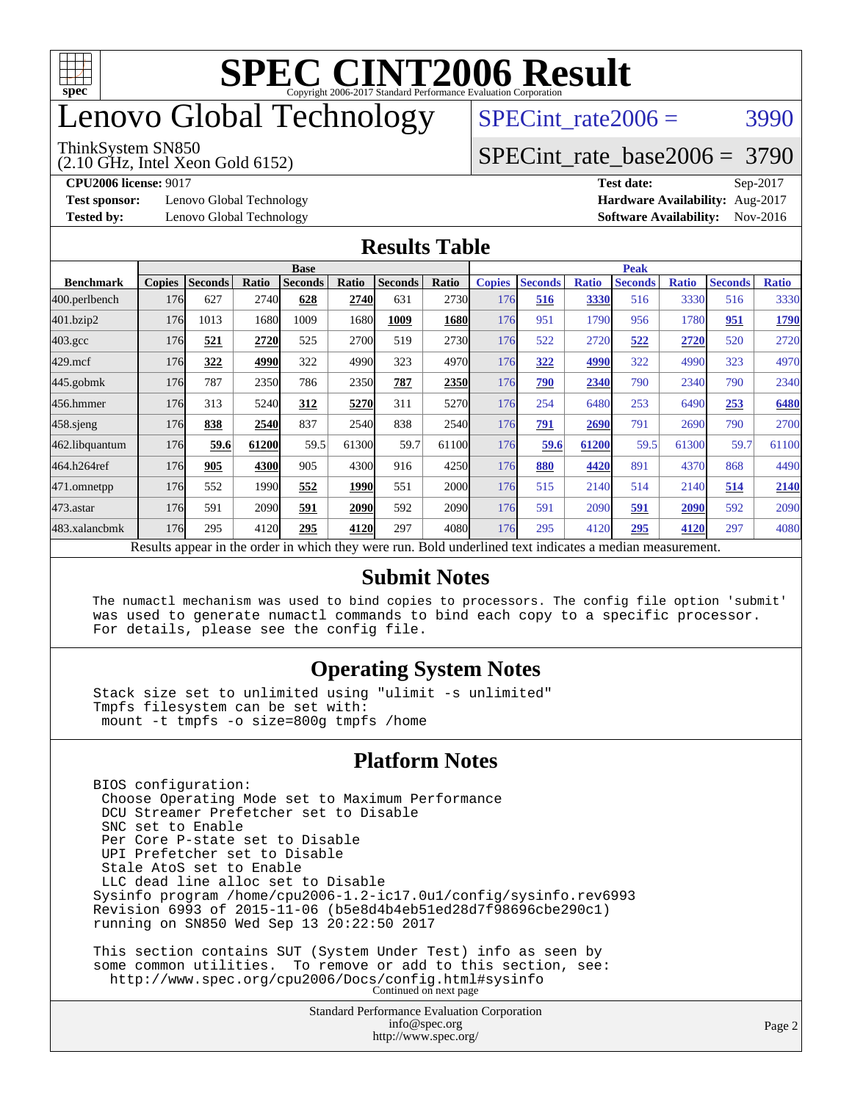

# enovo Global Technology

#### ThinkSystem SN850

(2.10 GHz, Intel Xeon Gold 6152)

SPECint rate $2006 = 3990$ 

### [SPECint\\_rate\\_base2006 =](http://www.spec.org/auto/cpu2006/Docs/result-fields.html#SPECintratebase2006) 3790

**[Test sponsor:](http://www.spec.org/auto/cpu2006/Docs/result-fields.html#Testsponsor)** Lenovo Global Technology **[Hardware Availability:](http://www.spec.org/auto/cpu2006/Docs/result-fields.html#HardwareAvailability)** Aug-2017

**[CPU2006 license:](http://www.spec.org/auto/cpu2006/Docs/result-fields.html#CPU2006license)** 9017 **[Test date:](http://www.spec.org/auto/cpu2006/Docs/result-fields.html#Testdate)** Sep-2017 **[Tested by:](http://www.spec.org/auto/cpu2006/Docs/result-fields.html#Testedby)** Lenovo Global Technology **[Software Availability:](http://www.spec.org/auto/cpu2006/Docs/result-fields.html#SoftwareAvailability)** Nov-2016

#### **[Results Table](http://www.spec.org/auto/cpu2006/Docs/result-fields.html#ResultsTable)**

|                    | <b>Base</b>                                                                                              |                |       |                |       |                | <b>Peak</b> |               |                |              |                |              |                |              |
|--------------------|----------------------------------------------------------------------------------------------------------|----------------|-------|----------------|-------|----------------|-------------|---------------|----------------|--------------|----------------|--------------|----------------|--------------|
| <b>Benchmark</b>   | <b>Copies</b>                                                                                            | <b>Seconds</b> | Ratio | <b>Seconds</b> | Ratio | <b>Seconds</b> | Ratio       | <b>Copies</b> | <b>Seconds</b> | <b>Ratio</b> | <b>Seconds</b> | <b>Ratio</b> | <b>Seconds</b> | <b>Ratio</b> |
| 400.perlbench      | 176                                                                                                      | 627            | 2740  | 628            | 2740  | 631            | 2730        | 176           | 516            | 3330         | 516            | 3330         | 516            | 3330         |
| 401.bzip2          | 176                                                                                                      | 1013           | 1680  | 1009           | 1680  | 1009           | 1680        | 176           | 951            | 1790         | 956            | 1780         | 951            | 1790         |
| $403.\mathrm{gcc}$ | 176                                                                                                      | 521            | 2720  | 525            | 2700  | 519            | 2730        | 176           | 522            | 2720         | 522            | 2720         | 520            | 2720         |
| $429$ .mcf         | 176                                                                                                      | 322            | 4990  | 322            | 4990  | 323            | 4970        | 176           | 322            | 4990         | 322            | 4990         | 323            | 4970         |
| $445$ .gobm $k$    | 176                                                                                                      | 787            | 2350  | 786            | 2350  | 787            | 2350        | 176           | 790            | 2340         | 790            | 2340         | 790            | 2340         |
| 456.hmmer          | 176                                                                                                      | 313            | 5240  | 312            | 5270  | 311            | 5270        | 176           | 254            | 6480         | 253            | 6490         | 253            | 6480         |
| $458$ sjeng        | 176                                                                                                      | 838            | 2540  | 837            | 2540  | 838            | 2540        | 176           | 791            | 2690         | 791            | 2690         | 790            | 2700         |
| 462.libquantum     | 176                                                                                                      | 59.6           | 61200 | 59.5           | 61300 | 59.7           | 61100       | 176           | 59.6           | 61200        | 59.5           | 61300        | 59.7           | 61100        |
| 464.h264ref        | 176                                                                                                      | 905            | 4300  | 905            | 4300  | 916            | 4250        | 176           | 880            | 4420         | 891            | 4370         | 868            | 4490         |
| 471.omnetpp        | 176                                                                                                      | 552            | 1990  | 552            | 1990  | 551            | <b>2000</b> | 176           | 515            | 2140         | 514            | 2140         | 514            | 2140         |
| $473$ . astar      | 176                                                                                                      | 591            | 2090  | 591            | 2090  | 592            | 2090        | 176           | 591            | 2090         | 591            | 2090         | 592            | 2090         |
| 483.xalancbmk      | 176                                                                                                      | 295            | 4120  | 295            | 4120  | 297            | 4080        | 176           | 295            | 4120         | 295            | 4120         | 297            | 4080         |
|                    | Results appear in the order in which they were run. Bold underlined text indicates a median measurement. |                |       |                |       |                |             |               |                |              |                |              |                |              |

#### **[Submit Notes](http://www.spec.org/auto/cpu2006/Docs/result-fields.html#SubmitNotes)**

 The numactl mechanism was used to bind copies to processors. The config file option 'submit' was used to generate numactl commands to bind each copy to a specific processor. For details, please see the config file.

#### **[Operating System Notes](http://www.spec.org/auto/cpu2006/Docs/result-fields.html#OperatingSystemNotes)**

 Stack size set to unlimited using "ulimit -s unlimited" Tmpfs filesystem can be set with: mount -t tmpfs -o size=800g tmpfs /home

#### **[Platform Notes](http://www.spec.org/auto/cpu2006/Docs/result-fields.html#PlatformNotes)**

<http://www.spec.org/>

Standard Performance Evaluation Corporation [info@spec.org](mailto:info@spec.org) BIOS configuration: Choose Operating Mode set to Maximum Performance DCU Streamer Prefetcher set to Disable SNC set to Enable Per Core P-state set to Disable UPI Prefetcher set to Disable Stale AtoS set to Enable LLC dead line alloc set to Disable Sysinfo program /home/cpu2006-1.2-ic17.0u1/config/sysinfo.rev6993 Revision 6993 of 2015-11-06 (b5e8d4b4eb51ed28d7f98696cbe290c1) running on SN850 Wed Sep 13 20:22:50 2017 This section contains SUT (System Under Test) info as seen by some common utilities. To remove or add to this section, see: <http://www.spec.org/cpu2006/Docs/config.html#sysinfo> Continued on next page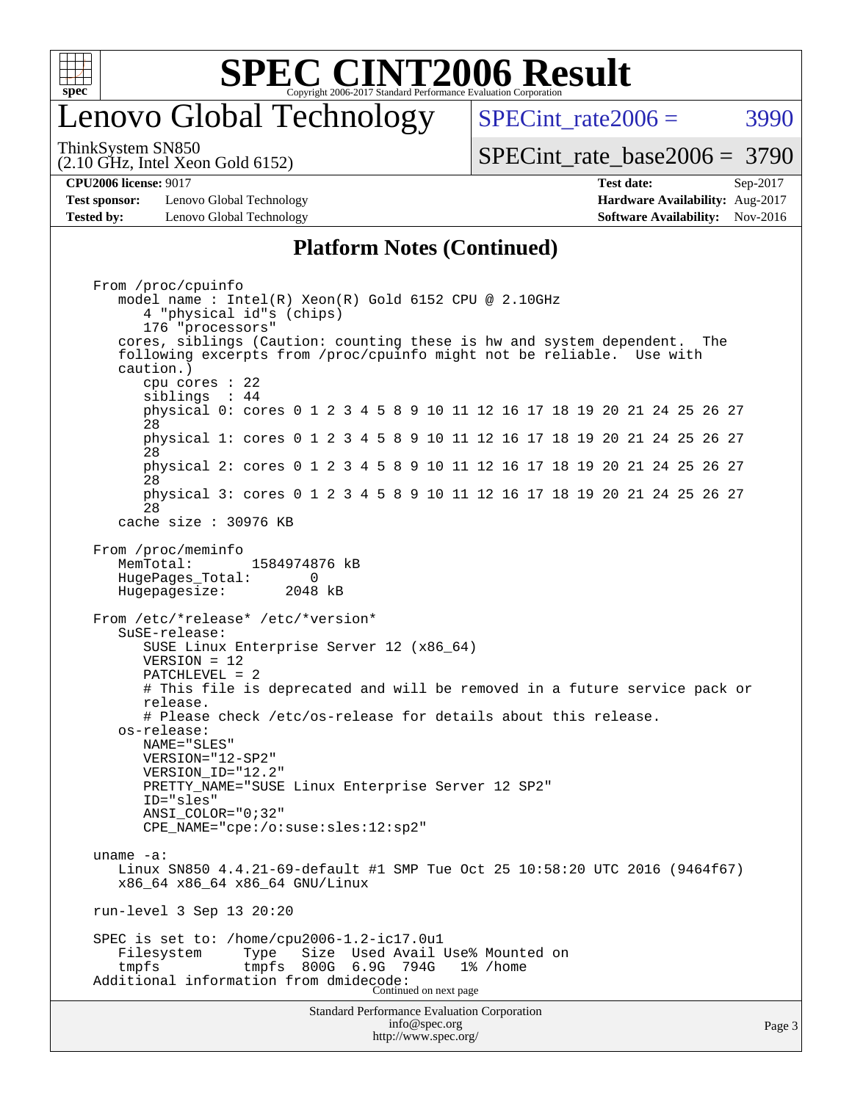

# enovo Global Technology

SPECint rate $2006 = 3990$ 

(2.10 GHz, Intel Xeon Gold 6152) ThinkSystem SN850

[SPECint\\_rate\\_base2006 =](http://www.spec.org/auto/cpu2006/Docs/result-fields.html#SPECintratebase2006) 3790

**[Test sponsor:](http://www.spec.org/auto/cpu2006/Docs/result-fields.html#Testsponsor)** Lenovo Global Technology **[Hardware Availability:](http://www.spec.org/auto/cpu2006/Docs/result-fields.html#HardwareAvailability)** Aug-2017 **[Tested by:](http://www.spec.org/auto/cpu2006/Docs/result-fields.html#Testedby)** Lenovo Global Technology **[Software Availability:](http://www.spec.org/auto/cpu2006/Docs/result-fields.html#SoftwareAvailability)** Nov-2016

**[CPU2006 license:](http://www.spec.org/auto/cpu2006/Docs/result-fields.html#CPU2006license)** 9017 **[Test date:](http://www.spec.org/auto/cpu2006/Docs/result-fields.html#Testdate)** Sep-2017

#### **[Platform Notes \(Continued\)](http://www.spec.org/auto/cpu2006/Docs/result-fields.html#PlatformNotes)**

Standard Performance Evaluation Corporation [info@spec.org](mailto:info@spec.org) Page 3 From /proc/cpuinfo model name : Intel(R) Xeon(R) Gold 6152 CPU @ 2.10GHz 4 "physical id"s (chips) 176 "processors" cores, siblings (Caution: counting these is hw and system dependent. The following excerpts from /proc/cpuinfo might not be reliable. Use with caution.) cpu cores : 22 siblings : 44 physical 0: cores 0 1 2 3 4 5 8 9 10 11 12 16 17 18 19 20 21 24 25 26 27 28 physical 1: cores 0 1 2 3 4 5 8 9 10 11 12 16 17 18 19 20 21 24 25 26 27 28 physical 2: cores 0 1 2 3 4 5 8 9 10 11 12 16 17 18 19 20 21 24 25 26 27 28 physical 3: cores 0 1 2 3 4 5 8 9 10 11 12 16 17 18 19 20 21 24 25 26 27 28 cache size : 30976 KB From /proc/meminfo MemTotal: 1584974876 kB HugePages\_Total: 0 Hugepagesize: 2048 kB From /etc/\*release\* /etc/\*version\* SuSE-release: SUSE Linux Enterprise Server 12 (x86\_64) VERSION = 12 PATCHLEVEL = 2 # This file is deprecated and will be removed in a future service pack or release. # Please check /etc/os-release for details about this release. os-release: NAME="SLES" VERSION="12-SP2" VERSION\_ID="12.2" PRETTY\_NAME="SUSE Linux Enterprise Server 12 SP2" ID="sles" ANSI\_COLOR="0;32" CPE\_NAME="cpe:/o:suse:sles:12:sp2" uname -a: Linux SN850 4.4.21-69-default #1 SMP Tue Oct 25 10:58:20 UTC 2016 (9464f67) x86\_64 x86\_64 x86\_64 GNU/Linux run-level 3 Sep 13 20:20 SPEC is set to: /home/cpu2006-1.2-ic17.0ul<br>Filesystem Type Size Used Avail Used Avail Use% Mounted on tmpfs tmpfs 800G 6.9G 794G 1% /home Additional information from dmidecode: Continued on next page

<http://www.spec.org/>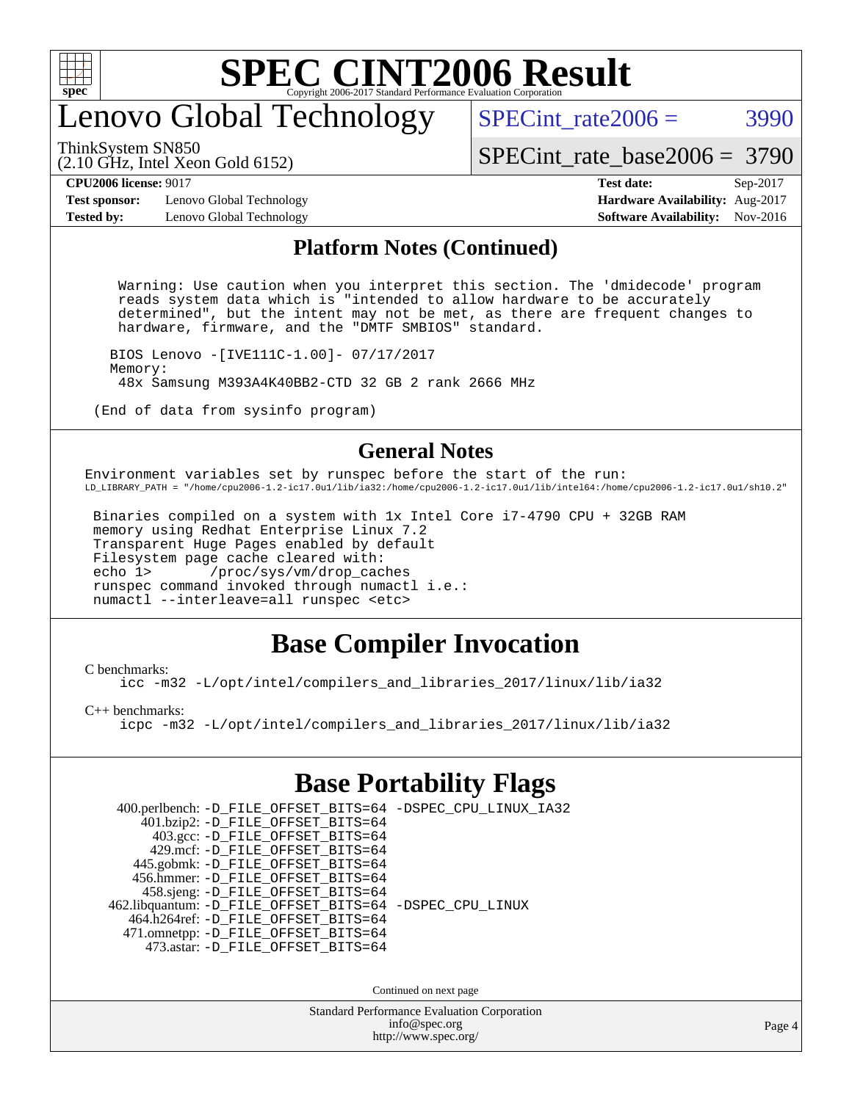

# enovo Global Technology

SPECint rate $2006 = 3990$ 

ThinkSystem SN850

(2.10 GHz, Intel Xeon Gold 6152)

[SPECint\\_rate\\_base2006 =](http://www.spec.org/auto/cpu2006/Docs/result-fields.html#SPECintratebase2006) 3790

**[Test sponsor:](http://www.spec.org/auto/cpu2006/Docs/result-fields.html#Testsponsor)** Lenovo Global Technology **[Hardware Availability:](http://www.spec.org/auto/cpu2006/Docs/result-fields.html#HardwareAvailability)** Aug-2017 **[Tested by:](http://www.spec.org/auto/cpu2006/Docs/result-fields.html#Testedby)** Lenovo Global Technology **[Software Availability:](http://www.spec.org/auto/cpu2006/Docs/result-fields.html#SoftwareAvailability)** Nov-2016

**[CPU2006 license:](http://www.spec.org/auto/cpu2006/Docs/result-fields.html#CPU2006license)** 9017 **[Test date:](http://www.spec.org/auto/cpu2006/Docs/result-fields.html#Testdate)** Sep-2017

#### **[Platform Notes \(Continued\)](http://www.spec.org/auto/cpu2006/Docs/result-fields.html#PlatformNotes)**

 Warning: Use caution when you interpret this section. The 'dmidecode' program reads system data which is "intended to allow hardware to be accurately determined", but the intent may not be met, as there are frequent changes to hardware, firmware, and the "DMTF SMBIOS" standard.

 BIOS Lenovo -[IVE111C-1.00]- 07/17/2017 Memory: 48x Samsung M393A4K40BB2-CTD 32 GB 2 rank 2666 MHz

(End of data from sysinfo program)

#### **[General Notes](http://www.spec.org/auto/cpu2006/Docs/result-fields.html#GeneralNotes)**

Environment variables set by runspec before the start of the run: LD\_LIBRARY\_PATH = "/home/cpu2006-1.2-ic17.0u1/lib/ia32:/home/cpu2006-1.2-ic17.0u1/lib/intel64:/home/cpu2006-1.2-ic17.0u1/sh10.2"

 Binaries compiled on a system with 1x Intel Core i7-4790 CPU + 32GB RAM memory using Redhat Enterprise Linux 7.2 Transparent Huge Pages enabled by default Filesystem page cache cleared with: echo 1> /proc/sys/vm/drop\_caches runspec command invoked through numactl i.e.: numactl --interleave=all runspec <etc>

### **[Base Compiler Invocation](http://www.spec.org/auto/cpu2006/Docs/result-fields.html#BaseCompilerInvocation)**

[C benchmarks](http://www.spec.org/auto/cpu2006/Docs/result-fields.html#Cbenchmarks):

[icc -m32 -L/opt/intel/compilers\\_and\\_libraries\\_2017/linux/lib/ia32](http://www.spec.org/cpu2006/results/res2017q4/cpu2006-20170918-50030.flags.html#user_CCbase_intel_icc_c29f3ff5a7ed067b11e4ec10a03f03ae)

[C++ benchmarks:](http://www.spec.org/auto/cpu2006/Docs/result-fields.html#CXXbenchmarks)

[icpc -m32 -L/opt/intel/compilers\\_and\\_libraries\\_2017/linux/lib/ia32](http://www.spec.org/cpu2006/results/res2017q4/cpu2006-20170918-50030.flags.html#user_CXXbase_intel_icpc_8c35c7808b62dab9ae41a1aa06361b6b)

#### **[Base Portability Flags](http://www.spec.org/auto/cpu2006/Docs/result-fields.html#BasePortabilityFlags)**

| 400.perlbench: -D_FILE_OFFSET_BITS=64 -DSPEC_CPU_LINUX_IA32<br>401.bzip2: -D_FILE_OFFSET_BITS=64 |  |
|--------------------------------------------------------------------------------------------------|--|
| 403.gcc: -D_FILE_OFFSET_BITS=64                                                                  |  |
| 429.mcf: -D FILE OFFSET BITS=64                                                                  |  |
| 445.gobmk: -D_FILE_OFFSET_BITS=64                                                                |  |
| 456.hmmer: -D FILE OFFSET BITS=64                                                                |  |
| 458.sjeng: - D_FILE_OFFSET_BITS=64                                                               |  |
| 462.libquantum: -D_FILE_OFFSET_BITS=64 -DSPEC_CPU_LINUX                                          |  |
| 464.h264ref: -D FILE OFFSET BITS=64                                                              |  |
| 471.omnetpp: -D_FILE_OFFSET_BITS=64                                                              |  |
| 473.astar: -D FILE OFFSET BITS=64                                                                |  |
|                                                                                                  |  |

Continued on next page

Standard Performance Evaluation Corporation [info@spec.org](mailto:info@spec.org) <http://www.spec.org/>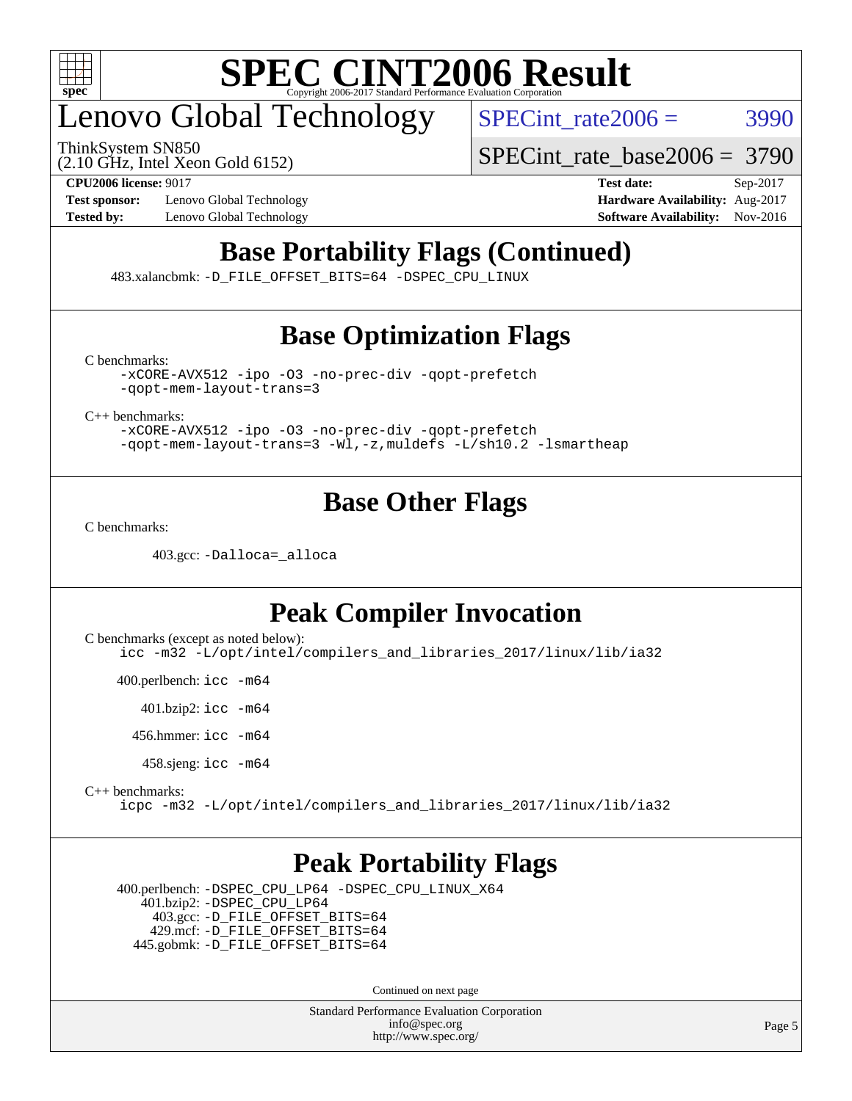

# enovo Global Technology

ThinkSystem SN850

SPECint rate $2006 = 3990$ 

(2.10 GHz, Intel Xeon Gold 6152)

[SPECint\\_rate\\_base2006 =](http://www.spec.org/auto/cpu2006/Docs/result-fields.html#SPECintratebase2006) 3790

**[Test sponsor:](http://www.spec.org/auto/cpu2006/Docs/result-fields.html#Testsponsor)** Lenovo Global Technology **[Hardware Availability:](http://www.spec.org/auto/cpu2006/Docs/result-fields.html#HardwareAvailability)** Aug-2017 **[Tested by:](http://www.spec.org/auto/cpu2006/Docs/result-fields.html#Testedby)** Lenovo Global Technology **[Software Availability:](http://www.spec.org/auto/cpu2006/Docs/result-fields.html#SoftwareAvailability)** Nov-2016

**[CPU2006 license:](http://www.spec.org/auto/cpu2006/Docs/result-fields.html#CPU2006license)** 9017 **[Test date:](http://www.spec.org/auto/cpu2006/Docs/result-fields.html#Testdate)** Sep-2017

# **[Base Portability Flags \(Continued\)](http://www.spec.org/auto/cpu2006/Docs/result-fields.html#BasePortabilityFlags)**

483.xalancbmk: [-D\\_FILE\\_OFFSET\\_BITS=64](http://www.spec.org/cpu2006/results/res2017q4/cpu2006-20170918-50030.flags.html#user_basePORTABILITY483_xalancbmk_file_offset_bits_64_438cf9856305ebd76870a2c6dc2689ab) [-DSPEC\\_CPU\\_LINUX](http://www.spec.org/cpu2006/results/res2017q4/cpu2006-20170918-50030.flags.html#b483.xalancbmk_baseCXXPORTABILITY_DSPEC_CPU_LINUX)

# **[Base Optimization Flags](http://www.spec.org/auto/cpu2006/Docs/result-fields.html#BaseOptimizationFlags)**

[C benchmarks](http://www.spec.org/auto/cpu2006/Docs/result-fields.html#Cbenchmarks):

[-xCORE-AVX512](http://www.spec.org/cpu2006/results/res2017q4/cpu2006-20170918-50030.flags.html#user_CCbase_f-xCORE-AVX512) [-ipo](http://www.spec.org/cpu2006/results/res2017q4/cpu2006-20170918-50030.flags.html#user_CCbase_f-ipo) [-O3](http://www.spec.org/cpu2006/results/res2017q4/cpu2006-20170918-50030.flags.html#user_CCbase_f-O3) [-no-prec-div](http://www.spec.org/cpu2006/results/res2017q4/cpu2006-20170918-50030.flags.html#user_CCbase_f-no-prec-div) [-qopt-prefetch](http://www.spec.org/cpu2006/results/res2017q4/cpu2006-20170918-50030.flags.html#user_CCbase_f-qopt-prefetch) [-qopt-mem-layout-trans=3](http://www.spec.org/cpu2006/results/res2017q4/cpu2006-20170918-50030.flags.html#user_CCbase_f-qopt-mem-layout-trans_170f5be61cd2cedc9b54468c59262d5d)

[C++ benchmarks:](http://www.spec.org/auto/cpu2006/Docs/result-fields.html#CXXbenchmarks)

[-xCORE-AVX512](http://www.spec.org/cpu2006/results/res2017q4/cpu2006-20170918-50030.flags.html#user_CXXbase_f-xCORE-AVX512) [-ipo](http://www.spec.org/cpu2006/results/res2017q4/cpu2006-20170918-50030.flags.html#user_CXXbase_f-ipo) [-O3](http://www.spec.org/cpu2006/results/res2017q4/cpu2006-20170918-50030.flags.html#user_CXXbase_f-O3) [-no-prec-div](http://www.spec.org/cpu2006/results/res2017q4/cpu2006-20170918-50030.flags.html#user_CXXbase_f-no-prec-div) [-qopt-prefetch](http://www.spec.org/cpu2006/results/res2017q4/cpu2006-20170918-50030.flags.html#user_CXXbase_f-qopt-prefetch) [-qopt-mem-layout-trans=3](http://www.spec.org/cpu2006/results/res2017q4/cpu2006-20170918-50030.flags.html#user_CXXbase_f-qopt-mem-layout-trans_170f5be61cd2cedc9b54468c59262d5d) [-Wl,-z,muldefs](http://www.spec.org/cpu2006/results/res2017q4/cpu2006-20170918-50030.flags.html#user_CXXbase_link_force_multiple1_74079c344b956b9658436fd1b6dd3a8a) [-L/sh10.2 -lsmartheap](http://www.spec.org/cpu2006/results/res2017q4/cpu2006-20170918-50030.flags.html#user_CXXbase_SmartHeap_b831f2d313e2fffa6dfe3f00ffc1f1c0)

### **[Base Other Flags](http://www.spec.org/auto/cpu2006/Docs/result-fields.html#BaseOtherFlags)**

[C benchmarks](http://www.spec.org/auto/cpu2006/Docs/result-fields.html#Cbenchmarks):

403.gcc: [-Dalloca=\\_alloca](http://www.spec.org/cpu2006/results/res2017q4/cpu2006-20170918-50030.flags.html#b403.gcc_baseEXTRA_CFLAGS_Dalloca_be3056838c12de2578596ca5467af7f3)

## **[Peak Compiler Invocation](http://www.spec.org/auto/cpu2006/Docs/result-fields.html#PeakCompilerInvocation)**

[C benchmarks \(except as noted below\)](http://www.spec.org/auto/cpu2006/Docs/result-fields.html#Cbenchmarksexceptasnotedbelow): [icc -m32 -L/opt/intel/compilers\\_and\\_libraries\\_2017/linux/lib/ia32](http://www.spec.org/cpu2006/results/res2017q4/cpu2006-20170918-50030.flags.html#user_CCpeak_intel_icc_c29f3ff5a7ed067b11e4ec10a03f03ae)

400.perlbench: [icc -m64](http://www.spec.org/cpu2006/results/res2017q4/cpu2006-20170918-50030.flags.html#user_peakCCLD400_perlbench_intel_icc_64bit_bda6cc9af1fdbb0edc3795bac97ada53)

401.bzip2: [icc -m64](http://www.spec.org/cpu2006/results/res2017q4/cpu2006-20170918-50030.flags.html#user_peakCCLD401_bzip2_intel_icc_64bit_bda6cc9af1fdbb0edc3795bac97ada53)

456.hmmer: [icc -m64](http://www.spec.org/cpu2006/results/res2017q4/cpu2006-20170918-50030.flags.html#user_peakCCLD456_hmmer_intel_icc_64bit_bda6cc9af1fdbb0edc3795bac97ada53)

458.sjeng: [icc -m64](http://www.spec.org/cpu2006/results/res2017q4/cpu2006-20170918-50030.flags.html#user_peakCCLD458_sjeng_intel_icc_64bit_bda6cc9af1fdbb0edc3795bac97ada53)

#### [C++ benchmarks:](http://www.spec.org/auto/cpu2006/Docs/result-fields.html#CXXbenchmarks) [icpc -m32 -L/opt/intel/compilers\\_and\\_libraries\\_2017/linux/lib/ia32](http://www.spec.org/cpu2006/results/res2017q4/cpu2006-20170918-50030.flags.html#user_CXXpeak_intel_icpc_8c35c7808b62dab9ae41a1aa06361b6b)

### **[Peak Portability Flags](http://www.spec.org/auto/cpu2006/Docs/result-fields.html#PeakPortabilityFlags)**

 400.perlbench: [-DSPEC\\_CPU\\_LP64](http://www.spec.org/cpu2006/results/res2017q4/cpu2006-20170918-50030.flags.html#b400.perlbench_peakCPORTABILITY_DSPEC_CPU_LP64) [-DSPEC\\_CPU\\_LINUX\\_X64](http://www.spec.org/cpu2006/results/res2017q4/cpu2006-20170918-50030.flags.html#b400.perlbench_peakCPORTABILITY_DSPEC_CPU_LINUX_X64) 401.bzip2: [-DSPEC\\_CPU\\_LP64](http://www.spec.org/cpu2006/results/res2017q4/cpu2006-20170918-50030.flags.html#suite_peakCPORTABILITY401_bzip2_DSPEC_CPU_LP64) 403.gcc: [-D\\_FILE\\_OFFSET\\_BITS=64](http://www.spec.org/cpu2006/results/res2017q4/cpu2006-20170918-50030.flags.html#user_peakPORTABILITY403_gcc_file_offset_bits_64_438cf9856305ebd76870a2c6dc2689ab) 429.mcf: [-D\\_FILE\\_OFFSET\\_BITS=64](http://www.spec.org/cpu2006/results/res2017q4/cpu2006-20170918-50030.flags.html#user_peakPORTABILITY429_mcf_file_offset_bits_64_438cf9856305ebd76870a2c6dc2689ab) 445.gobmk: [-D\\_FILE\\_OFFSET\\_BITS=64](http://www.spec.org/cpu2006/results/res2017q4/cpu2006-20170918-50030.flags.html#user_peakPORTABILITY445_gobmk_file_offset_bits_64_438cf9856305ebd76870a2c6dc2689ab)

Continued on next page

Standard Performance Evaluation Corporation [info@spec.org](mailto:info@spec.org) <http://www.spec.org/>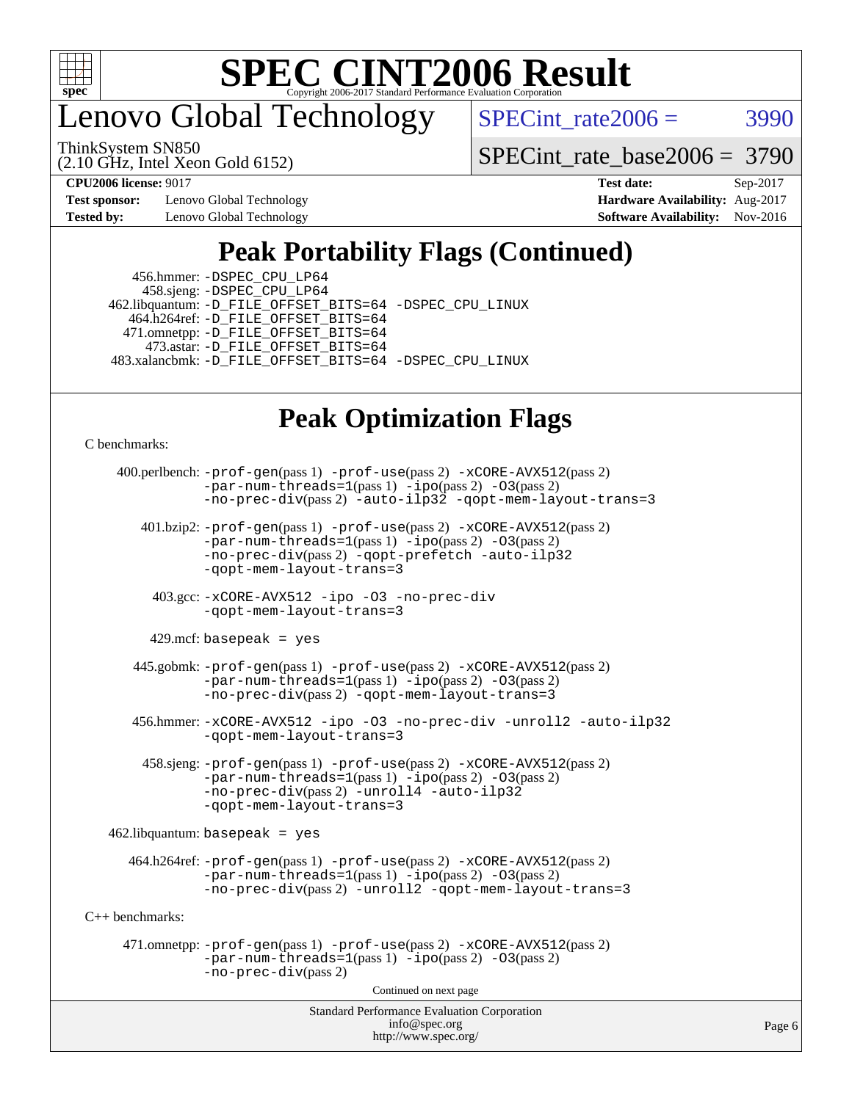

enovo Global Technology

SPECint rate $2006 = 3990$ 

(2.10 GHz, Intel Xeon Gold 6152) ThinkSystem SN850

[SPECint\\_rate\\_base2006 =](http://www.spec.org/auto/cpu2006/Docs/result-fields.html#SPECintratebase2006) 3790

**[Test sponsor:](http://www.spec.org/auto/cpu2006/Docs/result-fields.html#Testsponsor)** Lenovo Global Technology **[Hardware Availability:](http://www.spec.org/auto/cpu2006/Docs/result-fields.html#HardwareAvailability)** Aug-2017

**[CPU2006 license:](http://www.spec.org/auto/cpu2006/Docs/result-fields.html#CPU2006license)** 9017 **[Test date:](http://www.spec.org/auto/cpu2006/Docs/result-fields.html#Testdate)** Sep-2017 **[Tested by:](http://www.spec.org/auto/cpu2006/Docs/result-fields.html#Testedby)** Lenovo Global Technology **[Software Availability:](http://www.spec.org/auto/cpu2006/Docs/result-fields.html#SoftwareAvailability)** Nov-2016

# **[Peak Portability Flags \(Continued\)](http://www.spec.org/auto/cpu2006/Docs/result-fields.html#PeakPortabilityFlags)**

 456.hmmer: [-DSPEC\\_CPU\\_LP64](http://www.spec.org/cpu2006/results/res2017q4/cpu2006-20170918-50030.flags.html#suite_peakCPORTABILITY456_hmmer_DSPEC_CPU_LP64) 458.sjeng: [-DSPEC\\_CPU\\_LP64](http://www.spec.org/cpu2006/results/res2017q4/cpu2006-20170918-50030.flags.html#suite_peakCPORTABILITY458_sjeng_DSPEC_CPU_LP64) 462.libquantum: [-D\\_FILE\\_OFFSET\\_BITS=64](http://www.spec.org/cpu2006/results/res2017q4/cpu2006-20170918-50030.flags.html#user_peakPORTABILITY462_libquantum_file_offset_bits_64_438cf9856305ebd76870a2c6dc2689ab) [-DSPEC\\_CPU\\_LINUX](http://www.spec.org/cpu2006/results/res2017q4/cpu2006-20170918-50030.flags.html#b462.libquantum_peakCPORTABILITY_DSPEC_CPU_LINUX) 464.h264ref: [-D\\_FILE\\_OFFSET\\_BITS=64](http://www.spec.org/cpu2006/results/res2017q4/cpu2006-20170918-50030.flags.html#user_peakPORTABILITY464_h264ref_file_offset_bits_64_438cf9856305ebd76870a2c6dc2689ab) 471.omnetpp: [-D\\_FILE\\_OFFSET\\_BITS=64](http://www.spec.org/cpu2006/results/res2017q4/cpu2006-20170918-50030.flags.html#user_peakPORTABILITY471_omnetpp_file_offset_bits_64_438cf9856305ebd76870a2c6dc2689ab) 473.astar: [-D\\_FILE\\_OFFSET\\_BITS=64](http://www.spec.org/cpu2006/results/res2017q4/cpu2006-20170918-50030.flags.html#user_peakPORTABILITY473_astar_file_offset_bits_64_438cf9856305ebd76870a2c6dc2689ab) 483.xalancbmk: [-D\\_FILE\\_OFFSET\\_BITS=64](http://www.spec.org/cpu2006/results/res2017q4/cpu2006-20170918-50030.flags.html#user_peakPORTABILITY483_xalancbmk_file_offset_bits_64_438cf9856305ebd76870a2c6dc2689ab) [-DSPEC\\_CPU\\_LINUX](http://www.spec.org/cpu2006/results/res2017q4/cpu2006-20170918-50030.flags.html#b483.xalancbmk_peakCXXPORTABILITY_DSPEC_CPU_LINUX)

### **[Peak Optimization Flags](http://www.spec.org/auto/cpu2006/Docs/result-fields.html#PeakOptimizationFlags)**

[C benchmarks](http://www.spec.org/auto/cpu2006/Docs/result-fields.html#Cbenchmarks):

```
Standard Performance Evaluation Corporation
                                         info@spec.org
     400.perlbench: -prof-gen(pass 1) -prof-use(pass 2) -xCORE-AVX512(pass 2)
                -par-num-threads=1(pass 1) -ipo(pass 2) -O3(pass 2)
                -no-prec-div-auto-ilp32-qopt-mem-layout-trans=3
        401.bzip2: -prof-gen(pass 1) -prof-use(pass 2) -xCORE-AVX512(pass 2)
                 -par-num-threads=1(pass 1) -ipo(pass 2) -O3(pass 2)
                -no-prec-div(pass 2) -qopt-prefetch -auto-ilp32
                -qopt-mem-layout-trans=3
          403.gcc: -xCORE-AVX512 -ipo -O3 -no-prec-div
                -qopt-mem-layout-trans=3
         429.mcf: basepeak = yes
       445.gobmk: -prof-gen(pass 1) -prof-use(pass 2) -xCORE-AVX512(pass 2)
                -par-num-threads=1(pass 1) -ipo(pass 2) -O3(pass 2)
                -no-prec-div-qopt-mem-layout-trans=3
       456.hmmer: -xCORE-AVX512 -ipo -O3 -no-prec-div -unroll2 -auto-ilp32
                -qopt-mem-layout-trans=3
         458.sjeng: -prof-gen(pass 1) -prof-use(pass 2) -xCORE-AVX512(pass 2)
                -par-num-threads=1(pass 1) -ipo(pass 2) -O3(pass 2)
                -no-prec-div(pass 2) -unroll4 -auto-ilp32
                -qopt-mem-layout-trans=3
    462.libquantum: basepeak = yes
      464.h264ref: -prof-gen(pass 1) -prof-use(pass 2) -xCORE-AVX512(pass 2)
                -par-num-threads=1(pass 1) -ipo(pass 2) -O3(pass 2)
                -no-prec-div(pass 2) -unroll2 -qopt-mem-layout-trans=3
C++ benchmarks: 
      471.omnetpp: -prof-gen(pass 1) -prof-use(pass 2) -xCORE-AVX512(pass 2)
                -par-num-threads=1(pass 1) -ipo(pass 2) -O3(pass 2)
                -no-prec-div(pass 2)
                                        Continued on next page
```
<http://www.spec.org/>